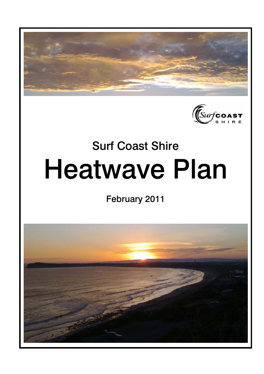



# Surf Coast Shire Heatwave Plan

February 2011

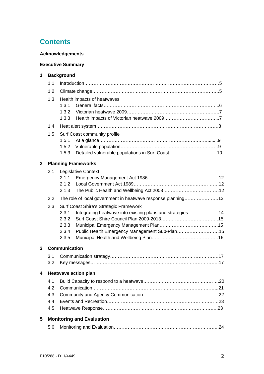# **Contents**

## **Acknowledgements**

## **Executive Summary**

| 1              | <b>Background</b>           |                                                                             |  |  |  |  |
|----------------|-----------------------------|-----------------------------------------------------------------------------|--|--|--|--|
|                | 1.1                         |                                                                             |  |  |  |  |
|                | 1.2                         |                                                                             |  |  |  |  |
|                | 1.3                         | Health impacts of heatwaves                                                 |  |  |  |  |
|                |                             | 1.3.1                                                                       |  |  |  |  |
|                |                             | 1.3.2                                                                       |  |  |  |  |
|                |                             | 1.3.3                                                                       |  |  |  |  |
|                | 1.4                         |                                                                             |  |  |  |  |
|                | 1.5                         | Surf Coast community profile                                                |  |  |  |  |
|                |                             | 1.5.1                                                                       |  |  |  |  |
|                |                             | 1.5.2                                                                       |  |  |  |  |
|                |                             | Detailed vulnerable populations in Surf Coast10<br>1.5.3                    |  |  |  |  |
| $\overline{2}$ |                             | <b>Planning Frameworks</b>                                                  |  |  |  |  |
|                | 2.1                         | <b>Legislative Context</b>                                                  |  |  |  |  |
|                |                             | 2.1.1                                                                       |  |  |  |  |
|                |                             | 2.1.2                                                                       |  |  |  |  |
|                |                             | 2.1.3                                                                       |  |  |  |  |
|                | 2.2                         | The role of local government in heatwave response planning13                |  |  |  |  |
|                | 2.3                         | Surf Coast Shire's Strategic Framework                                      |  |  |  |  |
|                |                             | 2.3.1<br>Integrating heatwave into existing plans and strategies14<br>2.3.2 |  |  |  |  |
|                |                             | 2.3.3                                                                       |  |  |  |  |
|                |                             | 2.3.4<br>Public Health Emergency Management Sub-Plan15                      |  |  |  |  |
|                |                             | 2.3.5                                                                       |  |  |  |  |
| 3              |                             | <b>Communication</b>                                                        |  |  |  |  |
|                | 3.1                         |                                                                             |  |  |  |  |
|                | 3.2                         |                                                                             |  |  |  |  |
| 4              | <b>Heatwave action plan</b> |                                                                             |  |  |  |  |
|                | 4.1                         |                                                                             |  |  |  |  |
|                | 4.2                         |                                                                             |  |  |  |  |
|                | 4.3<br>4.4                  |                                                                             |  |  |  |  |
|                |                             |                                                                             |  |  |  |  |
|                | 4.5                         |                                                                             |  |  |  |  |
| 5              |                             | <b>Monitoring and Evaluation</b>                                            |  |  |  |  |
|                | 5.0                         |                                                                             |  |  |  |  |
|                |                             |                                                                             |  |  |  |  |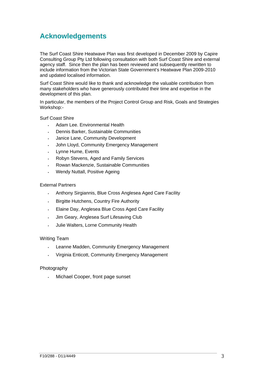# **Acknowledgements**

The Surf Coast Shire Heatwave Plan was first developed in December 2009 by Capire Consulting Group Pty Ltd following consultation with both Surf Coast Shire and external agency staff. Since then the plan has been reviewed and subsequently rewritten to include information from the Victorian State Government's Heatwave Plan 2009-2010 and updated localised information.

Surf Coast Shire would like to thank and acknowledge the valuable contribution from many stakeholders who have generously contributed their time and expertise in the development of this plan.

In particular, the members of the Project Control Group and Risk, Goals and Strategies Workshop:-

#### Surf Coast Shire

- Adam Lee. Environmental Health
- Dennis Barker, Sustainable Communities
- Janice Lane, Community Development
- John Lloyd, Community Emergency Management
- Lynne Hume, Events
- Robyn Stevens, Aged and Family Services
- Rowan Mackenzie, Sustainable Communities
- Wendy Nuttall, Positive Ageing

#### External Partners

- Anthony Sirgiannis, Blue Cross Anglesea Aged Care Facility
- Birgitte Hutchens, Country Fire Authority
- Elaine Day, Anglesea Blue Cross Aged Care Facility
- Jim Geary, Anglesea Surf Lifesaving Club
- Julie Walters, Lorne Community Health

#### Writing Team

- Leanne Madden, Community Emergency Management
- Virginia Enticott, Community Emergency Management

#### Photography

Michael Cooper, front page sunset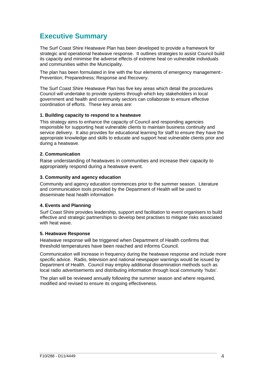# **Executive Summary**

The Surf Coast Shire Heatwave Plan has been developed to provide a framework for strategic and operational heatwave response. It outlines strategies to assist Council build its capacity and minimise the adverse effects of extreme heat on vulnerable individuals and communities within the Municipality.

The plan has been formulated in line with the four elements of emergency management:- Prevention; Preparedness; Response and Recovery.

The Surf Coast Shire Heatwave Plan has five key areas which detail the procedures Council will undertake to provide systems through which key stakeholders in local government and health and community sectors can collaborate to ensure effective coordination of efforts. These key areas are:

#### **1. Building capacity to respond to a heatwave**

This strategy aims to enhance the capacity of Council and responding agencies responsible for supporting heat vulnerable clients to maintain business continuity and service delivery. It also provides for educational learning for staff to ensure they have the appropriate knowledge and skills to educate and support heat vulnerable clients prior and during a heatwave.

#### **2. Communication**

Raise understanding of heatwaves in communities and increase their capacity to appropriately respond during a heatwave event.

#### **3. Community and agency education**

Community and agency education commences prior to the summer season. Literature and communication tools provided by the Department of Health will be used to disseminate heat health information

#### **4. Events and Planning**

Surf Coast Shire provides leadership, support and facilitation to event organisers to build effective and strategic partnerships to develop best practises to mitigate risks associated with heat wave.

#### **5. Heatwave Response**

Heatwave response will be triggered when Department of Health confirms that threshold temperatures have been reached and informs Council.

Communication will increase in frequency during the heatwave response and include more specific advice. Radio, television and national newspaper warnings would be issued by Department of Health. Council may employ additional dissemination methods such as local radio advertisements and distributing information through local community 'hubs'.

The plan will be reviewed annually following the summer season and where required, modified and revised to ensure its ongoing effectiveness.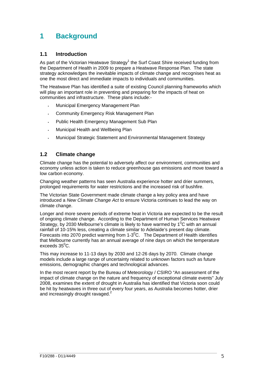# **1 Background**

## **1.1 Introduction**

As part of the Victorian Heatwave Strategy<sup>1</sup> the Surf Coast Shire received funding from the Department of Health in 2009 to prepare a Heatwave Response Plan. The state strategy acknowledges the inevitable impacts of climate change and recognises heat as one the most direct and immediate impacts to individuals and communities.

The Heatwave Plan has identified a suite of existing Council planning frameworks which will play an important role in preventing and preparing for the impacts of heat on communities and infrastructure. These plans include:-

- Municipal Emergency Management Plan
- Community Emergency Risk Management Plan
- Public Health Emergency Management Sub Plan
- Municipal Health and Wellbeing Plan
- Municipal Strategic Statement and Environmental Management Strategy

## **1.2 Climate change**

Climate change has the potential to adversely affect our environment, communities and economy unless action is taken to reduce greenhouse gas emissions and move toward a low carbon economy.

Changing weather patterns has seen Australia experience hotter and drier summers, prolonged requirements for water restrictions and the increased risk of bushfire.

The Victorian State Government made climate change a key policy area and have introduced a *New Climate Change Act* to ensure Victoria continues to lead the way on climate change.

Longer and more severe periods of extreme heat in Victoria are expected to be the result of ongoing climate change. According to the Department of Human Services Heatwave Strategy, by 2030 Melbourne's climate is likely to have warmed by  $1^0C$  with an annual rainfall of 10-15% less, creating a climate similar to Adelaide's present day climate. Forecasts into 2070 predict warming from 1-3 $^{\circ}$ C. The Department of Health identifies that Melbourne currently has an annual average of nine days on which the temperature exceeds  $35^0$ C.

This may increase to 11-13 days by 2030 and 12-26 days by 2070. Climate change models include a large range of uncertainty related to unknown factors such as future emissions, demographic changes and technological advances.

In the most recent report by the Bureau of Meteorology / CSIRO "An assessment of the impact of climate change on the nature and frequency of exceptional climate events" July 2008, examines the extent of drought in Australia has identified that Victoria soon could be hit by heatwaves in three out of every four years, as Australia becomes hotter, drier and increasingly drought ravaged.<sup>2</sup>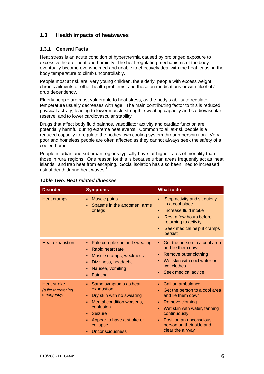## **1.3 Health impacts of heatwaves**

#### **1.3.1 General Facts**

Heat stress is an acute condition of hyperthermia caused by prolonged exposure to excessive heat or heat and humidity. The heat-regulating mechanisms of the body eventually become overwhelmed and unable to effectively deal with the heat, causing the body temperature to climb uncontrollably.

People most at risk are: very young children, the elderly, people with excess weight, chronic ailments or other health problems; and those on medications or with alcohol / drug dependency.

Elderly people are most vulnerable to heat stress, as the body's ability to regulate temperature usually decreases with age. The main contributing factor to this is reduced physical activity, leading to lower muscle strength, sweating capacity and cardiovascular reserve, and to lower cardiovascular stability.

Drugs that affect body fluid balance, vasodilator activity and cardiac function are potentially harmful during extreme heat events. Common to all at-risk people is a reduced capacity to regulate the bodies own cooling system through perspiration. Very poor and homeless people are often affected as they cannot always seek the safety of a cooled home.

People in urban and suburban regions typically have far higher rates of mortality than those in rural regions. One reason for this is because urban areas frequently act as 'heat islands', and trap heat from escaping. Social isolation has also been lined to increased risk of death during heat waves.

| <b>Disorder</b>                                  | <b>Symptoms</b>                                                                                                                                                                                              | What to do                                                                                                                                                                                                                           |
|--------------------------------------------------|--------------------------------------------------------------------------------------------------------------------------------------------------------------------------------------------------------------|--------------------------------------------------------------------------------------------------------------------------------------------------------------------------------------------------------------------------------------|
| Heat cramps                                      | Muscle pains<br>٠<br>Spasms in the abdomen, arms<br>٠<br>or legs                                                                                                                                             | Stop activity and sit quietly<br>$\blacksquare$<br>in a cool place<br>Increase fluid intake<br>$\blacksquare$<br>Rest a few hours before<br>×.<br>returning to activity<br>Seek medical help if cramps<br>$\blacksquare$<br>persist  |
| <b>Heat exhaustion</b>                           | Pale complexion and sweating<br>٠.<br>Rapid heart rate<br>Muscle cramps, weakness<br>٠<br>Dizziness, headache<br>٠<br>Nausea, vomiting<br>٠<br>Fainting<br>٠                                                 | Get the person to a cool area<br>$\blacksquare$<br>and lie them down<br>Remove outer clothing<br>٠<br>Wet skin with cool water or<br>wet clothes<br>Seek medical advice<br>a.                                                        |
| Heat stroke<br>(a life threatening<br>emergency) | • Same symptoms as heat<br>exhaustion<br>Dry skin with no sweating<br>٠.<br>Mental condition worsens,<br>٠<br>confusion<br>• Seizure<br>Appear to have a stroke or<br>×.<br>collapse<br>Unconsciousness<br>٠ | Call an ambulance<br>Get the person to a cool area<br>٠<br>and lie them down<br>Remove clothing<br>٠<br>Wet skin with water, fanning<br>٠<br>continuously<br>Position an unconscious<br>person on their side and<br>clear the airway |

#### *Table Two: Heat related illnesses*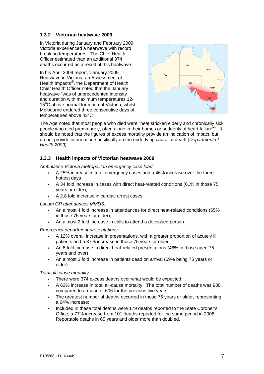#### **1.3.2 Victorian heatwave 2009**

In Victoria during January and February 2009, Victoria experienced a heatwave with record breaking temperatures. The Chief Health Officer estimated than an additional 374 deaths occurred as a result of this heatwave.

In his April 2009 report, 'January 2009 Heatwave in Victoria: an Assessment of Health Impacts<sup>15</sup>, the Department of Health Chief Health Officer noted that the January heatwave "was of unprecedented intensity and duration with maximum temperatures 12- 15°C above normal for much of Victoria, whilst Melbourne endured three consecutive days of  $temperatures$  above  $43^{\circ}$ C".



The Age noted that most people who died were "heat stricken elderly and chronically sick people who died prematurely, often alone in their homes or suddenly of heart failure"<sup>6</sup>. It should be noted that the figures of excess mortality provide an indication of impact, but do not provide information specifically on the underlying cause of death *(Department of Health 2009)* 

## **1.3.3 Health impacts of Victorian heatwave 2009**

*Ambulance Victoria metropolitan emergency case load:* 

- A 25% increase in total emergency cases and a 46% increase over the three hottest days
- A 34 fold increase in cases with direct heat-related conditions (61% in those 75 years or older);
- A 2.8 fold increase in cardiac arrest cases

*Locum GP attendances MMDS:* 

- An almost 4 fold increase in attendances for direct heat-related conditions (65% in those 75 years or older);
- An almost 2 fold increase in calls to attend a deceased person

*Emergency department presentations:* 

- A 12% overall increase in presentations, with a greater proportion of acutely ill patients and a 37% increase in those 75 years or older;
- An 8 fold increase in direct heat-related presentations (46% in those aged 75 years and over)
- An almost 3 fold increase in patients dead on arrival (69% being 75 years or older)

*Total all cause mortality:* 

- There were 374 excess deaths over what would be expected;
- A 62% increase in total all-cause mortality. The total number of deaths was 980, compared to a mean of 606 for the previous five years.
- The greatest number of deaths occurred in those 75 years or older, representing a 64% increase;
- Included in these total deaths were 179 deaths reported to the State Coroner's Office; a 77% increase from 101 deaths reported for the same period in 2008. Reportable deaths in 65 years and older more than doubled.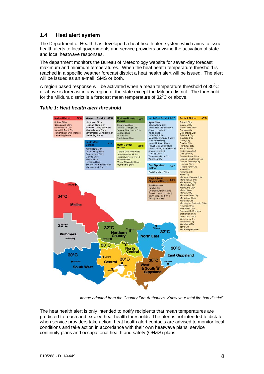## **1.4 Heat alert system**

The Department of Health has developed a heat health alert system which aims to issue health alerts to local governments and service providers advising the activation of state and local heatwave responses.

The department monitors the Bureau of Meteorology website for seven-day forecast maximum and minimum temperatures. When the heat health temperature threshold is reached in a specific weather forecast district a heat health alert will be issued. The alert will be issued as an e-mail, SMS or both.

A region based response will be activated when a mean temperature threshold of 30 $\rm ^{0}C$ or above is forecast in any region of the state except the Mildura district. The threshold for the Mildura district is a forecast mean temperature of  $32^0C$  or above.



#### *Table 1: Heat health alert threshold*

*Image adapted from the Country Fire Authority's 'Know your total fire ban district".* 

The heat health alert is only intended to notify recipients that mean temperatures are predicted to reach and exceed heat health thresholds. The alert is not intended to dictate when service providers take action; heat health alert contacts are advised to monitor local conditions and take action in accordance with their own heatwave plans, service continuity plans and occupational health and safety (OH&S) plans.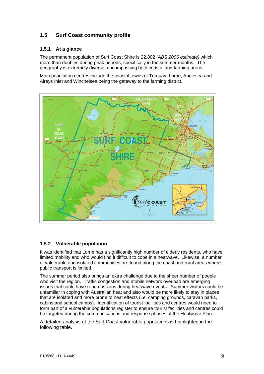## **1.5 Surf Coast community profile**

## **1.5.1 At a glance**

The permanent population of Surf Coast Shire is 22,802 *(ABS 2006 estimate)* which more than doubles during peak periods, specifically in the summer months. The geography is extremely diverse, encompassing both coastal and farming areas.

Main population centres include the coastal towns of Torquay, Lorne, Anglesea and Aireys Inlet and Winchelsea being the gateway to the farming district.



## **1.5.2 Vulnerable population**

It was identified that Lorne has a significantly high number of elderly residents, who have limited mobility and who would find it difficult to cope in a heatwave. Likewise, a number of vulnerable and isolated communities are found along the coast and rural areas where public transport is limited.

The summer period also brings an extra challenge due to the sheer number of people who visit the region. Traffic congestion and mobile network overload are emerging issues that could have repercussions during heatwave events. Summer visitors could be unfamiliar in coping with Australian heat and also would be more likely to stay in places that are isolated and more prone to heat effects (i.e. camping grounds, caravan parks, cabins and school camps). Identification of tourist facilities and centres would need to form part of a vulnerable populations register to ensure tourist facilities and centres could be targeted during the communications and response phases of the Heatwave Plan.

A detailed analysis of the Surf Coast vulnerable populations is highlighted in the following table.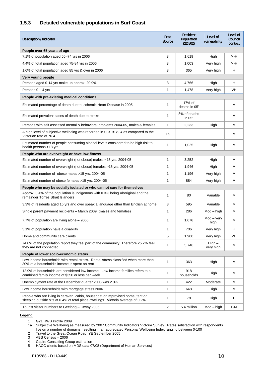## **1.5.3 Detailed vulnerable populations in Surf Coast**

| People over 65 years of age<br>3<br>7.1% of population aged 65-74 yrs in 2006<br>M-H<br>1,619<br>High<br>4.4% of total population aged 75-84 yrs in 2006<br>3<br>Very high<br>M-H<br>1,003<br>3<br>H<br>1.6% of total population aged 85 yrs & over in 2006<br>Very high<br>365<br>Very young people<br>3<br>H<br>Persons aged 0-14 yrs make up approx. 20.9%<br>4.766<br>High<br>Persons $0 - 4$ yrs<br>1<br>Very high<br>VH<br>1,478<br>People with pre-existing medical conditions<br>17% of<br>1<br>м<br>Estimated percentage of death due to Ischemic Heart Disease in 2005<br>deaths in 05'<br>8% of deaths<br>1<br>м<br>Estimated prevalent cases of death due to stroke<br>in 05'<br>1<br>М<br>Persons with self assessed mental & behavioral problems 2004-05, males & females<br>2,233<br>High<br>A high level of subjective wellbeing was recorded in $SCS = 79.4$ as compared to the<br>М<br>1a<br>Victorian rate of 76.4<br>Estimated number of people consuming alcohol levels considered to be high risk to<br>1<br>М<br>1,025<br>High<br>health persons >18 yrs<br>People who are overweight or have low fitness<br>Estimated number of overweight (not obese) males > 15 yrs, 2004-05<br>1<br>м<br>3,252<br>High<br>1<br>м<br>Estimated number of overweight (not obese) females >15 yrs, 2004-05<br>1,946<br>High<br>Estimated number of obese males >15 yrs, 2004-05<br>1<br>Very high<br>М<br>1,196<br>1<br>884<br>Very high<br>м<br>Estimated number of obese females >15 yrs, 2004-05<br>People who may be socially isolated or who cannot care for themselves<br>Approx. 0.4% of the population is Indigenous with 0.3% being Aboriginal and the<br>1<br>80<br>Variable<br>м<br>remainder Torres Strait Islanders<br>3<br>Variable<br>м<br>3.3% of residents aged 15 yrs and over speak a language other than English at home<br>595<br>$\mathbf{1}$<br>Single parent payment recipients - March 2009 (males and females)<br>286<br>$Mod - high$<br>м<br>$Mod - very$<br>1<br>М<br>7.7% of population are living alone – 2006<br>1,676<br>high<br>706<br>Н<br>3.1% of population have a disability<br>1<br>Very high<br>5<br>VH<br>Home and community care clients<br>1,900<br>Very high<br>74.8% of the population report they feel part of the community. Therefore 25.2% feel<br>$High -$<br>1<br>5,746<br>M<br>they are not connected.<br>very high<br>People of lower socio-economic status |
|-------------------------------------------------------------------------------------------------------------------------------------------------------------------------------------------------------------------------------------------------------------------------------------------------------------------------------------------------------------------------------------------------------------------------------------------------------------------------------------------------------------------------------------------------------------------------------------------------------------------------------------------------------------------------------------------------------------------------------------------------------------------------------------------------------------------------------------------------------------------------------------------------------------------------------------------------------------------------------------------------------------------------------------------------------------------------------------------------------------------------------------------------------------------------------------------------------------------------------------------------------------------------------------------------------------------------------------------------------------------------------------------------------------------------------------------------------------------------------------------------------------------------------------------------------------------------------------------------------------------------------------------------------------------------------------------------------------------------------------------------------------------------------------------------------------------------------------------------------------------------------------------------------------------------------------------------------------------------------------------------------------------------------------------------------------------------------------------------------------------------------------------------------------------------------------------------------------------------------------------------------------------------------------------------------------------------------------------------------------------------------------------------------------------------|
|                                                                                                                                                                                                                                                                                                                                                                                                                                                                                                                                                                                                                                                                                                                                                                                                                                                                                                                                                                                                                                                                                                                                                                                                                                                                                                                                                                                                                                                                                                                                                                                                                                                                                                                                                                                                                                                                                                                                                                                                                                                                                                                                                                                                                                                                                                                                                                                                                         |
|                                                                                                                                                                                                                                                                                                                                                                                                                                                                                                                                                                                                                                                                                                                                                                                                                                                                                                                                                                                                                                                                                                                                                                                                                                                                                                                                                                                                                                                                                                                                                                                                                                                                                                                                                                                                                                                                                                                                                                                                                                                                                                                                                                                                                                                                                                                                                                                                                         |
|                                                                                                                                                                                                                                                                                                                                                                                                                                                                                                                                                                                                                                                                                                                                                                                                                                                                                                                                                                                                                                                                                                                                                                                                                                                                                                                                                                                                                                                                                                                                                                                                                                                                                                                                                                                                                                                                                                                                                                                                                                                                                                                                                                                                                                                                                                                                                                                                                         |
|                                                                                                                                                                                                                                                                                                                                                                                                                                                                                                                                                                                                                                                                                                                                                                                                                                                                                                                                                                                                                                                                                                                                                                                                                                                                                                                                                                                                                                                                                                                                                                                                                                                                                                                                                                                                                                                                                                                                                                                                                                                                                                                                                                                                                                                                                                                                                                                                                         |
|                                                                                                                                                                                                                                                                                                                                                                                                                                                                                                                                                                                                                                                                                                                                                                                                                                                                                                                                                                                                                                                                                                                                                                                                                                                                                                                                                                                                                                                                                                                                                                                                                                                                                                                                                                                                                                                                                                                                                                                                                                                                                                                                                                                                                                                                                                                                                                                                                         |
|                                                                                                                                                                                                                                                                                                                                                                                                                                                                                                                                                                                                                                                                                                                                                                                                                                                                                                                                                                                                                                                                                                                                                                                                                                                                                                                                                                                                                                                                                                                                                                                                                                                                                                                                                                                                                                                                                                                                                                                                                                                                                                                                                                                                                                                                                                                                                                                                                         |
|                                                                                                                                                                                                                                                                                                                                                                                                                                                                                                                                                                                                                                                                                                                                                                                                                                                                                                                                                                                                                                                                                                                                                                                                                                                                                                                                                                                                                                                                                                                                                                                                                                                                                                                                                                                                                                                                                                                                                                                                                                                                                                                                                                                                                                                                                                                                                                                                                         |
|                                                                                                                                                                                                                                                                                                                                                                                                                                                                                                                                                                                                                                                                                                                                                                                                                                                                                                                                                                                                                                                                                                                                                                                                                                                                                                                                                                                                                                                                                                                                                                                                                                                                                                                                                                                                                                                                                                                                                                                                                                                                                                                                                                                                                                                                                                                                                                                                                         |
|                                                                                                                                                                                                                                                                                                                                                                                                                                                                                                                                                                                                                                                                                                                                                                                                                                                                                                                                                                                                                                                                                                                                                                                                                                                                                                                                                                                                                                                                                                                                                                                                                                                                                                                                                                                                                                                                                                                                                                                                                                                                                                                                                                                                                                                                                                                                                                                                                         |
|                                                                                                                                                                                                                                                                                                                                                                                                                                                                                                                                                                                                                                                                                                                                                                                                                                                                                                                                                                                                                                                                                                                                                                                                                                                                                                                                                                                                                                                                                                                                                                                                                                                                                                                                                                                                                                                                                                                                                                                                                                                                                                                                                                                                                                                                                                                                                                                                                         |
|                                                                                                                                                                                                                                                                                                                                                                                                                                                                                                                                                                                                                                                                                                                                                                                                                                                                                                                                                                                                                                                                                                                                                                                                                                                                                                                                                                                                                                                                                                                                                                                                                                                                                                                                                                                                                                                                                                                                                                                                                                                                                                                                                                                                                                                                                                                                                                                                                         |
|                                                                                                                                                                                                                                                                                                                                                                                                                                                                                                                                                                                                                                                                                                                                                                                                                                                                                                                                                                                                                                                                                                                                                                                                                                                                                                                                                                                                                                                                                                                                                                                                                                                                                                                                                                                                                                                                                                                                                                                                                                                                                                                                                                                                                                                                                                                                                                                                                         |
|                                                                                                                                                                                                                                                                                                                                                                                                                                                                                                                                                                                                                                                                                                                                                                                                                                                                                                                                                                                                                                                                                                                                                                                                                                                                                                                                                                                                                                                                                                                                                                                                                                                                                                                                                                                                                                                                                                                                                                                                                                                                                                                                                                                                                                                                                                                                                                                                                         |
|                                                                                                                                                                                                                                                                                                                                                                                                                                                                                                                                                                                                                                                                                                                                                                                                                                                                                                                                                                                                                                                                                                                                                                                                                                                                                                                                                                                                                                                                                                                                                                                                                                                                                                                                                                                                                                                                                                                                                                                                                                                                                                                                                                                                                                                                                                                                                                                                                         |
|                                                                                                                                                                                                                                                                                                                                                                                                                                                                                                                                                                                                                                                                                                                                                                                                                                                                                                                                                                                                                                                                                                                                                                                                                                                                                                                                                                                                                                                                                                                                                                                                                                                                                                                                                                                                                                                                                                                                                                                                                                                                                                                                                                                                                                                                                                                                                                                                                         |
|                                                                                                                                                                                                                                                                                                                                                                                                                                                                                                                                                                                                                                                                                                                                                                                                                                                                                                                                                                                                                                                                                                                                                                                                                                                                                                                                                                                                                                                                                                                                                                                                                                                                                                                                                                                                                                                                                                                                                                                                                                                                                                                                                                                                                                                                                                                                                                                                                         |
|                                                                                                                                                                                                                                                                                                                                                                                                                                                                                                                                                                                                                                                                                                                                                                                                                                                                                                                                                                                                                                                                                                                                                                                                                                                                                                                                                                                                                                                                                                                                                                                                                                                                                                                                                                                                                                                                                                                                                                                                                                                                                                                                                                                                                                                                                                                                                                                                                         |
|                                                                                                                                                                                                                                                                                                                                                                                                                                                                                                                                                                                                                                                                                                                                                                                                                                                                                                                                                                                                                                                                                                                                                                                                                                                                                                                                                                                                                                                                                                                                                                                                                                                                                                                                                                                                                                                                                                                                                                                                                                                                                                                                                                                                                                                                                                                                                                                                                         |
|                                                                                                                                                                                                                                                                                                                                                                                                                                                                                                                                                                                                                                                                                                                                                                                                                                                                                                                                                                                                                                                                                                                                                                                                                                                                                                                                                                                                                                                                                                                                                                                                                                                                                                                                                                                                                                                                                                                                                                                                                                                                                                                                                                                                                                                                                                                                                                                                                         |
|                                                                                                                                                                                                                                                                                                                                                                                                                                                                                                                                                                                                                                                                                                                                                                                                                                                                                                                                                                                                                                                                                                                                                                                                                                                                                                                                                                                                                                                                                                                                                                                                                                                                                                                                                                                                                                                                                                                                                                                                                                                                                                                                                                                                                                                                                                                                                                                                                         |
|                                                                                                                                                                                                                                                                                                                                                                                                                                                                                                                                                                                                                                                                                                                                                                                                                                                                                                                                                                                                                                                                                                                                                                                                                                                                                                                                                                                                                                                                                                                                                                                                                                                                                                                                                                                                                                                                                                                                                                                                                                                                                                                                                                                                                                                                                                                                                                                                                         |
|                                                                                                                                                                                                                                                                                                                                                                                                                                                                                                                                                                                                                                                                                                                                                                                                                                                                                                                                                                                                                                                                                                                                                                                                                                                                                                                                                                                                                                                                                                                                                                                                                                                                                                                                                                                                                                                                                                                                                                                                                                                                                                                                                                                                                                                                                                                                                                                                                         |
|                                                                                                                                                                                                                                                                                                                                                                                                                                                                                                                                                                                                                                                                                                                                                                                                                                                                                                                                                                                                                                                                                                                                                                                                                                                                                                                                                                                                                                                                                                                                                                                                                                                                                                                                                                                                                                                                                                                                                                                                                                                                                                                                                                                                                                                                                                                                                                                                                         |
|                                                                                                                                                                                                                                                                                                                                                                                                                                                                                                                                                                                                                                                                                                                                                                                                                                                                                                                                                                                                                                                                                                                                                                                                                                                                                                                                                                                                                                                                                                                                                                                                                                                                                                                                                                                                                                                                                                                                                                                                                                                                                                                                                                                                                                                                                                                                                                                                                         |
|                                                                                                                                                                                                                                                                                                                                                                                                                                                                                                                                                                                                                                                                                                                                                                                                                                                                                                                                                                                                                                                                                                                                                                                                                                                                                                                                                                                                                                                                                                                                                                                                                                                                                                                                                                                                                                                                                                                                                                                                                                                                                                                                                                                                                                                                                                                                                                                                                         |
|                                                                                                                                                                                                                                                                                                                                                                                                                                                                                                                                                                                                                                                                                                                                                                                                                                                                                                                                                                                                                                                                                                                                                                                                                                                                                                                                                                                                                                                                                                                                                                                                                                                                                                                                                                                                                                                                                                                                                                                                                                                                                                                                                                                                                                                                                                                                                                                                                         |
|                                                                                                                                                                                                                                                                                                                                                                                                                                                                                                                                                                                                                                                                                                                                                                                                                                                                                                                                                                                                                                                                                                                                                                                                                                                                                                                                                                                                                                                                                                                                                                                                                                                                                                                                                                                                                                                                                                                                                                                                                                                                                                                                                                                                                                                                                                                                                                                                                         |
| Low income households with rental stress. Rental stress classified when more than<br>1<br>363<br>М<br>High<br>30% of a household's income is spent on rent                                                                                                                                                                                                                                                                                                                                                                                                                                                                                                                                                                                                                                                                                                                                                                                                                                                                                                                                                                                                                                                                                                                                                                                                                                                                                                                                                                                                                                                                                                                                                                                                                                                                                                                                                                                                                                                                                                                                                                                                                                                                                                                                                                                                                                                              |
| 12.9% of households are considered low income. Low income families refers to a<br>918<br>1<br>High<br>м<br>combined family income of \$350 or less per week<br>households                                                                                                                                                                                                                                                                                                                                                                                                                                                                                                                                                                                                                                                                                                                                                                                                                                                                                                                                                                                                                                                                                                                                                                                                                                                                                                                                                                                                                                                                                                                                                                                                                                                                                                                                                                                                                                                                                                                                                                                                                                                                                                                                                                                                                                               |
| 1<br>422<br>М<br>Unemployment rate at the December quarter 2008 was 2.0%<br>Moderate                                                                                                                                                                                                                                                                                                                                                                                                                                                                                                                                                                                                                                                                                                                                                                                                                                                                                                                                                                                                                                                                                                                                                                                                                                                                                                                                                                                                                                                                                                                                                                                                                                                                                                                                                                                                                                                                                                                                                                                                                                                                                                                                                                                                                                                                                                                                    |
| 1<br>М<br>Low income households with mortgage stress 2006<br>648<br>High                                                                                                                                                                                                                                                                                                                                                                                                                                                                                                                                                                                                                                                                                                                                                                                                                                                                                                                                                                                                                                                                                                                                                                                                                                                                                                                                                                                                                                                                                                                                                                                                                                                                                                                                                                                                                                                                                                                                                                                                                                                                                                                                                                                                                                                                                                                                                |
| People who are living in caravan, cabin, houseboat or improvised home, tent or<br>1<br>78<br>High<br>L<br>sleeping outside sits at 0.4% of total place dwellings. Victoria average of 0.2%                                                                                                                                                                                                                                                                                                                                                                                                                                                                                                                                                                                                                                                                                                                                                                                                                                                                                                                                                                                                                                                                                                                                                                                                                                                                                                                                                                                                                                                                                                                                                                                                                                                                                                                                                                                                                                                                                                                                                                                                                                                                                                                                                                                                                              |
| 2<br>Tourist visitor numbers to Geelong - Otway 2005<br>5.4 million<br>$Mod - high$<br>L-M                                                                                                                                                                                                                                                                                                                                                                                                                                                                                                                                                                                                                                                                                                                                                                                                                                                                                                                                                                                                                                                                                                                                                                                                                                                                                                                                                                                                                                                                                                                                                                                                                                                                                                                                                                                                                                                                                                                                                                                                                                                                                                                                                                                                                                                                                                                              |

#### **Legend**

- 1 G21 HWB Profile 2009
- 1a Subjective Wellbeing as measured by 2007 Community Indicators Victoria Survey. Rates satisfaction with respondents live on a number of domains, resulting in an aggregated Personal Wellbeing Index ranging between 0-100
- 2 Travel to the Great Ocean Road, YE September 2005

- 3 ABS Census 2006<br>4 Capire Consulting Gr<br>5 HACC clients based 4 Capire Consulting Group estimation
- 5 HACC clients based on MDS data 07/08 (Department of Human Services)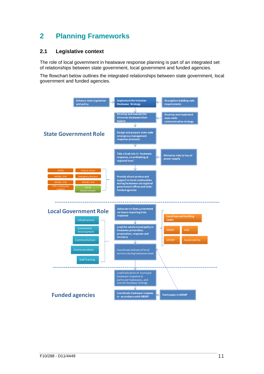# **2 Planning Frameworks**

## **2.1 Legislative context**

The role of local government in heatwave response planning is part of an integrated set of relationships between state government, local government and funded agencies.

The flowchart below outlines the integrated relationships between state government, local government and funded agencies.

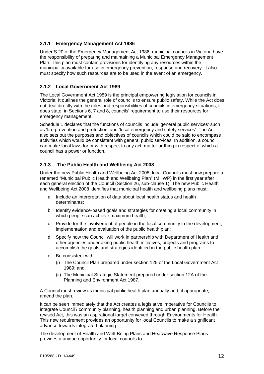## **2.1.1 Emergency Management Act 1986**

Under S.20 of the Emergency Management Act 1986, municipal councils in Victoria have the responsibility of preparing and maintaining a Municipal Emergency Management Plan. This plan must contain provisions for identifying any resources within the municipality available for use in emergency prevention, response and recovery. It also must specify how such resources are to be used in the event of an emergency.

## **2.1.2 Local Government Act 1989**

The Local Government Act 1989 is the principal empowering legislation for councils in Victoria. It outlines the general role of councils to ensure public safety. While the Act does not deal directly with the roles and responsibilities of councils in emergency situations, it does state, in Sections 6, 7 and 8, councils' requirement to use their resources for emergency management.

Schedule 1 declares that the functions of councils include 'general public services' such as 'fire prevention and protection' and 'local emergency and safety services'. The Act also sets out the purposes and objectives of councils which could be said to encompass activities which would be consistent with general public services. In addition, a council can make local laws for or with respect to any act, matter or thing in respect of which a council has a power or function.

## **2.1.3 The Public Health and Wellbeing Act 2008**

Under the new Public Health and Wellbeing Act 2008, local Councils must now prepare a renamed "Municipal Public Health and Wellbeing Plan" (MHWP) in the first year after each general election of the Council (Section 26, sub-clause 1). The new Public Health and Wellbeing Act 2008 identifies that municipal health and wellbeing plans must:

- a. Include an interpretation of data about local health status and health determinants;
- b. Identify evidence-based goals and strategies for creating a local community in which people can achieve maximum health;
- c. Provide for the involvement of people in the local community in the development, implementation and evaluation of the public health plan;
- d. Specify how the Council will work in partnership with Department of Health and other agencies undertaking public health initiatives, projects and programs to accomplish the goals and strategies identified in the public health plan;
- e. Be consistent with:
	- (i) The Council Plan prepared under section 125 of the Local Government Act 1989; and
	- (ii) The Municipal Strategic Statement prepared under section 12A of the Planning and Environment Act 1987.

A Council must review its municipal public health plan annually and, if appropriate, amend the plan.

It can be seen immediately that the Act creates a legislative imperative for Councils to integrate Council / community planning, health planning and urban planning. Before the revised Act, this was an aspirational target conveyed through Environments for Health. This new requirement provides an opportunity for local Councils to make a significant advance towards integrated planning.

The development of Health and Well-Being Plans and Heatwave Response Plans provides a unique opportunity for local councils to: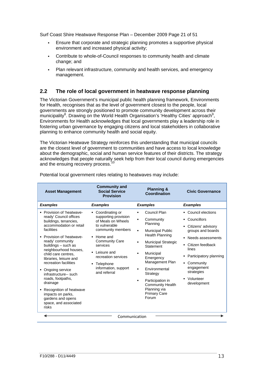Surf Coast Shire Heatwave Response Plan – December 2009 Page 21 of 51

- Ensure that corporate and strategic planning promotes a supportive physical environment and increased physical activity;
- Contribute to whole-of-Council responses to community health and climate change; and
- Plan relevant infrastructure, community and health services, and emergency management.

#### **2.2 The role of local government in heatwave response planning**

The Victorian Government's municipal public health planning framework, Environments for Health, recognises that as the level of government closest to the people, local governments are strongly positioned to promote community development across their municipality<sup>8</sup>. Drawing on the World Health Organisation's 'Healthy Cities' approach<sup>9</sup>, Environments for Health acknowledges that local governments play a leadership role in fostering urban governance by engaging citizens and local stakeholders in collaborative planning to enhance community health and social equity.

The Victorian Heatwave Strategy reinforces this understanding that municipal councils are the closest level of government to communities and have access to local knowledge about the demographic, social and human service features of their districts. The strategy acknowledges that people naturally seek help from their local council during emergencies and the ensuing recovery process.<sup>10</sup>

| <b>Asset Management</b>                                                                                                                                                                                                                                                                                                                                                                                                                                                                | <b>Community and</b><br><b>Social Service</b><br><b>Provision</b>                                                                                                                                                                                        | <b>Planning &amp;</b><br><b>Coordination</b>                                                                                                                                                                                                                                                                                                                                                                       | <b>Civic Governance</b>                                                                                                                                                                                                              |  |  |  |  |
|----------------------------------------------------------------------------------------------------------------------------------------------------------------------------------------------------------------------------------------------------------------------------------------------------------------------------------------------------------------------------------------------------------------------------------------------------------------------------------------|----------------------------------------------------------------------------------------------------------------------------------------------------------------------------------------------------------------------------------------------------------|--------------------------------------------------------------------------------------------------------------------------------------------------------------------------------------------------------------------------------------------------------------------------------------------------------------------------------------------------------------------------------------------------------------------|--------------------------------------------------------------------------------------------------------------------------------------------------------------------------------------------------------------------------------------|--|--|--|--|
| <b>Examples</b>                                                                                                                                                                                                                                                                                                                                                                                                                                                                        | <b>Examples</b>                                                                                                                                                                                                                                          | <b>Examples</b>                                                                                                                                                                                                                                                                                                                                                                                                    | <b>Examples</b>                                                                                                                                                                                                                      |  |  |  |  |
| • Provision of 'heatwave-<br>ready' Council offices<br>buildings, tenancies,<br>accommodation or retail<br>facilities<br>• Provision of 'heatwave-<br>ready' community<br>buildings - such as<br>neighbourhood houses,<br>child care centres.<br>libraries, leisure and<br>recreation facilities<br>Ongoing service<br>infrastructure-- such<br>roads, footpaths,<br>drainage<br>• Recognition of heatwave<br>impacts on parks,<br>gardens and opens<br>space, and associated<br>risks | • Coordinating or<br>supporting provision<br>of Meals on Wheels<br>to vulnerable<br>community members<br>• Home and<br><b>Community Care</b><br>services<br>Leisure and<br>recreation services<br>Telephone<br>٠<br>information, support<br>and referral | Council Plan<br>п<br>Community<br>٠<br>Planning<br><b>Municipal Public</b><br>$\blacksquare$<br><b>Health Planning</b><br>Municipal Strategic<br>$\blacksquare$<br>Statement<br>Municipal<br>$\blacksquare$<br>Emergency<br>Management Plan<br><b>Environmental</b><br>$\blacksquare$<br>Strategy<br>Participation in<br>$\blacksquare$<br><b>Community Health</b><br>Planning via<br><b>Primary Care</b><br>Forum | • Council elections<br>Councillors<br>Citizens' advisory<br>groups and boards<br>Needs assessments<br>• Citizen feedback<br>lines<br>Participatory planning<br>• Community<br>engagement<br>strategies<br>• Volunteer<br>development |  |  |  |  |
| Communication                                                                                                                                                                                                                                                                                                                                                                                                                                                                          |                                                                                                                                                                                                                                                          |                                                                                                                                                                                                                                                                                                                                                                                                                    |                                                                                                                                                                                                                                      |  |  |  |  |

Potential local government roles relating to heatwaves may include: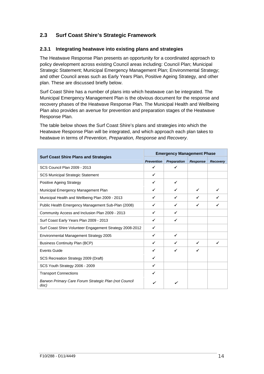## **2.3 Surf Coast Shire's Strategic Framework**

## **2.3.1 Integrating heatwave into existing plans and strategies**

The Heatwave Response Plan presents an opportunity for a coordinated approach to policy development across existing Council areas including: Council Plan; Municipal Strategic Statement; Municipal Emergency Management Plan; Environmental Strategy; and other Council areas such as Early Years Plan, Positive Ageing Strategy, and other plan. These are discussed briefly below.

Surf Coast Shire has a number of plans into which heatwave can be integrated. The Municipal Emergency Management Plan is the obvious document for the response and recovery phases of the Heatwave Response Plan. The Municipal Health and Wellbeing Plan also provides an avenue for prevention and preparation stages of the Heatwave Response Plan.

The table below shows the Surf Coast Shire's plans and strategies into which the Heatwave Response Plan will be integrated, and which approach each plan takes to heatwave in terms of *Prevention, Preparation, Response* and *Recovery*.

|                                                               | <b>Emergency Management Phase</b> |                    |                 |                 |
|---------------------------------------------------------------|-----------------------------------|--------------------|-----------------|-----------------|
| <b>Surf Coast Shire Plans and Strategies</b>                  | <b>Prevention</b>                 | <b>Preparation</b> | <b>Response</b> | <b>Recovery</b> |
| SCS Council Plan 2009 - 2013                                  | ✓                                 |                    |                 |                 |
| <b>SCS Municipal Strategic Statement</b>                      | ✔                                 |                    |                 |                 |
| Positive Ageing Strategy                                      | ✔                                 | ✓                  |                 |                 |
| Municipal Emergency Management Plan                           |                                   | ✓                  |                 |                 |
| Municipal Health and Wellbeing Plan 2009 - 2013               | ✔                                 | ✔                  |                 |                 |
| Public Health Emergency Management Sub-Plan (2008)            | ✔                                 | ✓                  | ✓               |                 |
| Community Access and Inclusion Plan 2009 - 2013               | ✓                                 | ✓                  |                 |                 |
| Surf Coast Early Years Plan 2009 - 2013                       | ✔                                 | ✔                  |                 |                 |
| Surf Coast Shire Volunteer Engagement Strategy 2008-2012      | ✔                                 |                    |                 |                 |
| Environmental Management Strategy 2005                        | ✓                                 | ✔                  |                 |                 |
| <b>Business Continuity Plan (BCP)</b>                         | ✔                                 | ✔                  | ✔               |                 |
| <b>Events Guide</b>                                           | ✔                                 | ✔                  | ✓               |                 |
| SCS Recreation Strategy 2009 (Draft)                          | ✔                                 |                    |                 |                 |
| SCS Youth Strategy 2006 - 2009                                | ✓                                 |                    |                 |                 |
| <b>Transport Connections</b>                                  | ✔                                 |                    |                 |                 |
| Barwon Primary Care Forum Strategic Plan (not Council<br>doc) |                                   | ✓                  |                 |                 |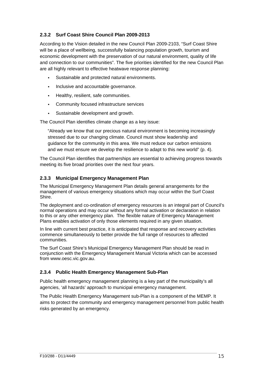## **2.3.2 Surf Coast Shire Council Plan 2009-2013**

According to the Vision detailed in the new Council Plan 2009-2103, "Surf Coast Shire will be a place of wellbeing, successfully balancing population growth, tourism and economic development with the preservation of our natural environment, quality of life and connection to our communities". The five priorities identified for the new Council Plan are all highly relevant to effective heatwave response planning:

- Sustainable and protected natural environments.
- Inclusive and accountable governance.
- **Healthy, resilient, safe communities.**
- Community focused infrastructure services
- Sustainable development and growth.

The Council Plan identifies climate change as a key issue:

"Already we know that our precious natural environment is becoming increasingly stressed due to our changing climate. Council must show leadership and guidance for the community in this area. We must reduce our carbon emissions and we must ensure we develop the resilience to adapt to this new world" (p. 4).

The Council Plan identifies that partnerships are essential to achieving progress towards meeting its five broad priorities over the next four years.

## **2.3.3 Municipal Emergency Management Plan**

The Municipal Emergency Management Plan details general arrangements for the management of various emergency situations which may occur within the Surf Coast Shire.

The deployment and co-ordination of emergency resources is an integral part of Council's normal operations and may occur without any formal activation or declaration in relation to this or any other emergency plan. The flexible nature of Emergency Management Plans enables activation of only those elements required in any given situation.

In line with current best practice, it is anticipated that response and recovery activities commence simultaneously to better provide the full range of resources to affected communities.

The Surf Coast Shire's Municipal Emergency Management Plan should be read in conjunction with the Emergency Management Manual Victoria which can be accessed from www.oesc.vic.gov.au.

## **2.3.4 Public Health Emergency Management Sub-Plan**

Public health emergency management planning is a key part of the municipality's all agencies, 'all hazards' approach to municipal emergency management.

The Public Health Emergency Management sub-Plan is a component of the MEMP. It aims to protect the community and emergency management personnel from public health risks generated by an emergency.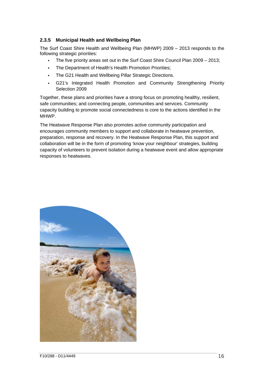#### **2.3.5 Municipal Health and Wellbeing Plan**

The Surf Coast Shire Health and Wellbeing Plan (MHWP) 2009 – 2013 responds to the following strategic priorities:

- The five priority areas set out in the Surf Coast Shire Council Plan 2009 2013;
- . The Department of Health's Health Promotion Priorities;
- The G21 Health and Wellbeing Pillar Strategic Directions.
- G21's Integrated Health Promotion and Community Strengthening Priority Selection 2009

Together, these plans and priorities have a strong focus on promoting healthy, resilient, safe communities; and connecting people, communities and services. Community capacity building to promote social connectedness is core to the actions identified in the MHWP.

The Heatwave Response Plan also promotes active community participation and encourages community members to support and collaborate in heatwave prevention, preparation, response and recovery. In the Heatwave Response Plan, this support and collaboration will be in the form of promoting 'know your neighbour' strategies, building capacity of volunteers to prevent isolation during a heatwave event and allow appropriate responses to heatwaves.

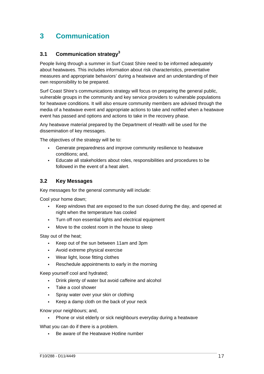# **3 Communication**

## **3.1 Communication strategy3**

People living through a summer in Surf Coast Shire need to be informed adequately about heatwaves. This includes information about risk characteristics, preventative measures and appropriate behaviors' during a heatwave and an understanding of their own responsibility to be prepared.

Surf Coast Shire's communications strategy will focus on preparing the general public, vulnerable groups in the community and key service providers to vulnerable populations for heatwave conditions. It will also ensure community members are advised through the media of a heatwave event and appropriate actions to take and notified when a heatwave event has passed and options and actions to take in the recovery phase.

Any heatwave material prepared by the Department of Health will be used for the dissemination of key messages.

The objectives of the strategy will be to:

- Generate preparedness and improve community resilience to heatwave conditions; and,
- Educate all stakeholders about roles, responsibilities and procedures to be followed in the event of a heat alert.

## **3.2 Key Messages**

Key messages for the general community will include:

Cool your home down;

- Keep windows that are exposed to the sun closed during the day, and opened at night when the temperature has cooled
- Turn off non essential lights and electrical equipment
- Move to the coolest room in the house to sleep

Stay out of the heat;

- Keep out of the sun between 11am and 3pm
- Avoid extreme physical exercise
- Wear light, loose fitting clothes
- Reschedule appointments to early in the morning

Keep yourself cool and hydrated;

- Drink plenty of water but avoid caffeine and alcohol
- Take a cool shower
- Spray water over your skin or clothing
- Keep a damp cloth on the back of your neck

Know your neighbours; and,

Phone or visit elderly or sick neighbours everyday during a heatwave

What you can do if there is a problem.

Be aware of the Heatwave Hotline number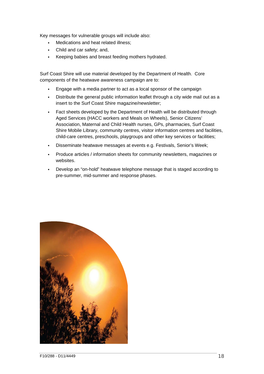Key messages for vulnerable groups will include also:

- **Medications and heat related illness:**
- Child and car safety; and,
- Keeping babies and breast feeding mothers hydrated.

Surf Coast Shire will use material developed by the Department of Health. Core components of the heatwave awareness campaign are to:

- Engage with a media partner to act as a local sponsor of the campaign
- Distribute the general public information leaflet through a city wide mail out as a insert to the Surf Coast Shire magazine/newsletter;
- Fact sheets developed by the Department of Health will be distributed through Aged Services (HACC workers and Meals on Wheels), Senior Citizens' Association, Maternal and Child Health nurses, GPs, pharmacies, Surf Coast Shire Mobile Library, community centres, visitor information centres and facilities, child-care centres, preschools, playgroups and other key services or facilities;
- Disseminate heatwave messages at events e.g. Festivals, Senior's Week;
- Produce articles / information sheets for community newsletters, magazines or websites.
- Develop an "on-hold" heatwave telephone message that is staged according to pre-summer, mid-summer and response phases.

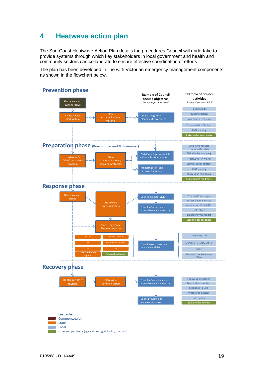# **4 Heatwave action plan**

The Surf Coast Heatwave Action Plan details the procedures Council will undertake to provide systems through which key stakeholders in local government and health and community sectors can collaborate to ensure effective coordination of efforts.

The plan has been developed in line with Victorian emergency management components as shown in the flowchart below.

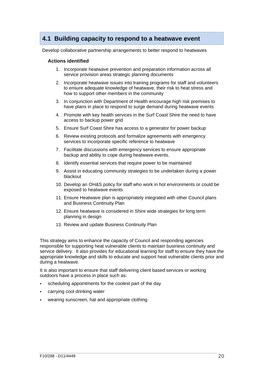## **4.1 Building capacity to respond to a heatwave event**

Develop collaborative partnership arrangements to better respond to heatwaves

#### **Actions identified**

- 1. Incorporate heatwave prevention and preparation information across all service provision areas strategic planning documents
- 2. Incorporate heatwave issues into training programs for staff and volunteers to ensure adequate knowledge of heatwave, their risk to heat stress and how to support other members in the community
- 3. In conjunction with Department of Health encourage high risk premises to have plans in place to respond to surge demand during heatwave events
- 4. Promote with key health services in the Surf Coast Shire the need to have access to backup power grid
- 5. Ensure Surf Coast Shire has access to a generator for power backup
- 6. Review existing protocols and formalize agreements with emergency services to incorporate specific reference to heatwave
- 7. Facilitate discussions with emergency services to ensure appropriate backup and ability to cope during heatwave events.
- 8. Identify essential services that require power to be maintained
- 9. Assist in educating community strategies to be undertaken during a power blackout
- 10. Develop an OH&S policy for staff who work in hot environments or could be exposed to heatwave events
- 11. Ensure Heatwave plan is appropriately integrated with other Council plans and Business Continuity Plan
- 12. Ensure heatwave is considered in Shire wide strategies for long term planning in design
- 13. Review and update Business Continuity Plan

This strategy aims to enhance the capacity of Council and responding agencies responsible for supporting heat vulnerable clients to maintain business continuity and service delivery. It also provides for educational learning for staff to ensure they have the appropriate knowledge and skills to educate and support heat vulnerable clients prior and during a heatwave.

It is also important to ensure that staff delivering client based services or working outdoors have a process in place such as:

- scheduling appointments for the coolest part of the day
- carrying cool drinking water
- wearing sunscreen, hat and appropriate clothing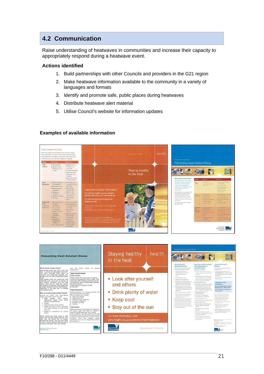## **4.2 Communication**

Raise understanding of heatwaves in communities and increase their capacity to appropriately respond during a heatwave event.

#### **Actions identified**

- 1. Build partnerships with other Councils and providers in the G21 region
- 2. Make heatwave information available to the community in a variety of languages and formats
- 3. Identify and promote safe, public places during heatwaves
- 4. Distribute heatwave alert material
- 5. Utilise Council's website for information updates

#### **Examples of available information**



• Drink plenty of water

• Stay out of the sun

Department of Health

• Keep cool

For more information visit-

**Victoria** 

 $V_{\text{total}}$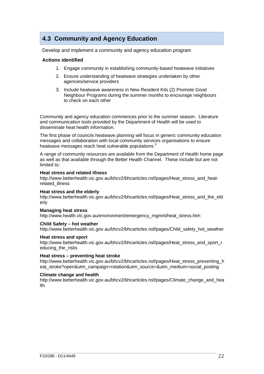# **4.3 Community and Agency Education**

Develop and implement a community and agency education program

#### **Actions identified**

- 1. Engage community in establishing community-based heatwave initiatives
- 2. Ensure understanding of heatwave strategies undertaken by other agencies/service providers
- 3. Include heatwave awareness in New Resident Kits (2) Promote Good Neighbour Programs during the summer months to encourage neighbours to check on each other

Community and agency education commences prior to the summer season. Literature and communication tools provided by the Department of Health will be used to disseminate heat health information.

The first phase of councils heatwave planning will focus in generic community education messages and collaboration with local community services organisations to ensure heatwave messages reach heat vulnerable populations.<sup>2</sup>

A range of community resources are available from the Department of Health home page as well as that available through the Better Health Channel. These include but are not limited to:

#### **Heat stress and related illness**

http://www.betterhealth.vic.gov.au/bhcv2/bhcarticles.nsf/pages/Heat\_stress\_and\_heatrelated\_illness

#### **Heat stress and the elderly**

http://www.betterhealth.vic.gov.au/bhcv2/bhcarticles.nsf/pages/Heat\_stress\_and\_the\_eld erly

#### **Managing heat stress**

http://www.health.vic.gov.au/environment/emergency\_mgmnt/heat\_stress.htm

#### **Child Safety – hot weather**

http://www.betterhealth.vic.gov.au/bhcv2/bhcarticles.nsf/pages/Child\_safety\_hot\_weather

#### **Heat stress and sport**

http://www.betterhealth.vic.gov.au/bhcv2/bhcarticles.nsf/pages/Heat\_stress\_and\_sport\_r educing the risks

#### **Heat stress – preventing heat stroke**

http://www.betterhealth.vic.gov.au/bhcv2/bhcarticles.nsf/pages/Heat\_stress\_preventing\_h eat stroke?open&utm\_campaign=rotation&utm\_source=&utm\_medium=social\_posting

#### **Climate change and health**

http://www.betterhealth.vic.gov.au/bhcv2/bhcarticles.nsf/pages/Climate\_change\_and\_hea lth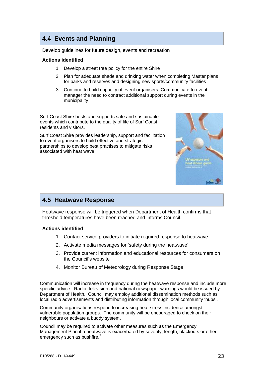# **4.4 Events and Planning**

Develop guidelines for future design, events and recreation

#### **Actions identified**

- 1. Develop a street tree policy for the entire Shire
- 2. Plan for adequate shade and drinking water when completing Master plans for parks and reserves and designing new sports/community facilities
- 3. Continue to build capacity of event organisers. Communicate to event manager the need to contract additional support during events in the municipality

Surf Coast Shire hosts and supports safe and sustainable events which contribute to the quality of life of Surf Coast residents and visitors.

Surf Coast Shire provides leadership, support and facilitation to event organisers to build effective and strategic partnerships to develop best practises to mitigate risks associated with heat wave.



## **4.5 Heatwave Response**

Heatwave response will be triggered when Department of Health confirms that threshold temperatures have been reached and informs Council.

#### **Actions identified**

- 1. Contact service providers to initiate required response to heatwave
- 2. Activate media messages for 'safety during the heatwave'
- 3. Provide current information and educational resources for consumers on the Council's website
- 4. Monitor Bureau of Meteorology during Response Stage

Communication will increase in frequency during the heatwave response and include more specific advice. Radio, television and national newspaper warnings would be issued by Department of Health. Council may employ additional dissemination methods such as local radio advertisements and distributing information through local community 'hubs'.

Community organisations respond to increasing heat stress incidence amongst vulnerable population groups. The community will be encouraged to check on their neighbours or activate a buddy system.

Council may be required to activate other measures such as the Emergency Management Plan if a heatwave is exacerbated by severity, length, blackouts or other emergency such as bushfire.<sup>2</sup>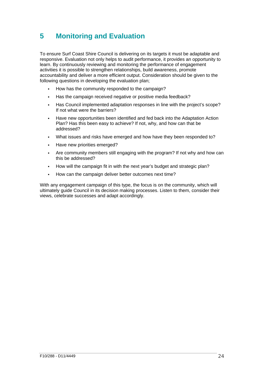# **5 Monitoring and Evaluation**

To ensure Surf Coast Shire Council is delivering on its targets it must be adaptable and responsive. Evaluation not only helps to audit performance, it provides an opportunity to learn. By continuously reviewing and monitoring the performance of engagement activities it is possible to strengthen relationships, build awareness, promote accountability and deliver a more efficient output. Consideration should be given to the following questions in developing the evaluation plan;

- How has the community responded to the campaign?
- Has the campaign received negative or positive media feedback?
- Has Council implemented adaptation responses in line with the project's scope? If not what were the barriers?
- Have new opportunities been identified and fed back into the Adaptation Action Plan? Has this been easy to achieve? If not, why, and how can that be addressed?
- What issues and risks have emerged and how have they been responded to?
- Have new priorities emerged?
- Are community members still engaging with the program? If not why and how can this be addressed?
- How will the campaign fit in with the next year's budget and strategic plan?
- How can the campaign deliver better outcomes next time?

With any engagement campaign of this type, the focus is on the community, which will ultimately guide Council in its decision making processes. Listen to them, consider their views, celebrate successes and adapt accordingly.